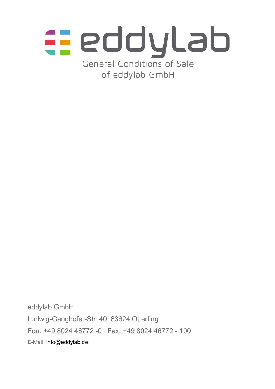

eddylab GmbH Ludwig-Ganghofer-Str. 40, 83624 Otterfing Fon: +49 8024 46772 -0 Fax: +49 8024 46772 - 100 E-Mail: [info@eddylab.de](mailto:info@eddylab.de)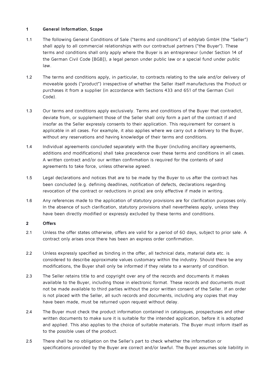## **1 General Information, Scope**

- 1.1 The following General Conditions of Sale ("terms and conditions") of eddylab GmbH (the "Seller") shall apply to all commercial relationships with our contractual partners ("the Buyer"). These terms and conditions shall only apply where the Buyer is an entrepreneur (under Section 14 of the German Civil Code [BGB]), a legal person under public law or a special fund under public law.
- 1.2 The terms and conditions apply, in particular, to contracts relating to the sale and/or delivery of moveable goods ("product") irrespective of whether the Seller itself manufactures the Product or purchases it from a supplier (in accordance with Sections 433 and 651 of the German Civil Code).
- 1.3 Our terms and conditions apply exclusively. Terms and conditions of the Buyer that contradict, deviate from, or supplement those of the Seller shall only form a part of the contract if and insofar as the Seller expressly consents to their application. This requirement for consent is applicable in all cases. For example, it also applies where we carry out a delivery to the Buyer, without any reservations and having knowledge of their terms and conditions.
- 1.4 Individual agreements concluded separately with the Buyer (including ancillary agreements, additions and modifications) shall take precedence over these terms and conditions in all cases. A written contract and/or our written confirmation is required for the contents of said agreements to take force, unless otherwise agreed.
- 1.5 Legal declarations and notices that are to be made by the Buyer to us after the contract has been concluded (e.g. defining deadlines, notification of defects, declarations regarding revocation of the contract or reductions in price) are only effective if made in writing.
- 1.6 Any references made to the application of statutory provisions are for clarification purposes only. In the absence of such clarification, statutory provisions shall nevertheless apply, unless they have been directly modified or expressly excluded by these terms and conditions.

## **2 Offers**

- 2.1 Unless the offer states otherwise, offers are valid for a period of 60 days, subject to prior sale. A contract only arises once there has been an express order confirmation.
- 2.2 Unless expressly specified as binding in the offer, all technical data, material data etc. is considered to describe approximate values customary within the industry. Should there be any modifications, the Buyer shall only be informed if they relate to a warranty of condition.
- 2.3 The Seller retains title to and copyright over any of the records and documents it makes available to the Buyer, including those in electronic format. These records and documents must not be made available to third parties without the prior written consent of the Seller. If an order is not placed with the Seller, all such records and documents, including any copies that may have been made, must be returned upon request without delay.
- 2.4 The Buyer must check the product information contained in catalogues, prospectuses and other written documents to make sure it is suitable for the intended application, before it is adopted and applied. This also applies to the choice of suitable materials. The Buyer must inform itself as to the possible uses of the product.
- 2.5 There shall be no obligation on the Seller's part to check whether the information or specifications provided by the Buyer are correct and/or lawful. The Buyer assumes sole liability in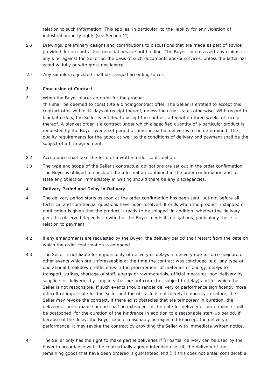relation to such information. This applies, in particular, to the liability for any violation of industrial property rights (see Section 11).

- 2.6 Drawings, preliminary designs and contributions to discussions that are made as part of advice provided during contractual negotiations are not binding. The Buyer cannot assert any claims of any kind against the Seller on the basis of such documents and/or services, unless the latter has acted wilfully or with gross negligence.
- 2.7 Any samples requested shall be charged according to cost.

## **3 Conclusion of Contract**

3.1 When the Buyer places an order for the product

this shall be deemed to constitute a bindingcontract offer. The Seller is entitled to accept this contract offer within 14 days of receipt thereof, unless the order states otherwise. With regard to blanket orders, the Seller is entitled to accept the contract offer within three weeks of receipt thereof. A blanket order is a contract under which a specified quantity of a particular product is requested by the Buyer over a set period of time, in partial deliveries to be determined. The quality requirements for the goods as well as the conditions of delivery and payment shall be the subject of a firm agreement.

- 3.2 Acceptance shall take the form of a written order confirmation.
- 3.3 The type and scope of the Seller's contractual obligations are set out in the order confirmation. The Buyer is obliged to check all the information contained in the order confirmation and to state any objection immediately in writing should there be any discrepancies.

### **4 Delivery Period and Delay in Delivery**

- 4.1 The delivery period starts as soon as the order confirmation has been sent, but not before all technical and commercial questions have been resolved. It ends when the product is shipped or notification is given that the product is ready to be shipped. In addition, whether the delivery period is observed depends on whether the Buyer meets its obligations, particularly those in relation to payment.
- 4.2 If any amendments are requested by the Buyer, the delivery period shall restart from the date on which the order confirmation is amended.
- 4.3 The Seller is not liable for impossibility of delivery or delays in delivery due to force majeure or other events which are unforeseeable at the time the contract was concluded (e.g. any type of operational breakdown, difficulties in the procurement of materials or energy, delays to transport, strikes, shortage of staff, energy or raw materials, official measures, non-delivery by suppliers or deliveries by suppliers that are not correct or subject to delay) and for which the Seller is not responsible. If such events should render delivery or performance significantly more difficult or impossible for the Seller and the obstacle is not merely temporary in nature, the Seller may revoke the contract. If there exist obstacles that are temporary in duration, the delivery or performance period shall be extended, or the date for delivery or performance shall be postponed, for the duration of the hindrance in addition to a reasonable start-up period. If, because of the delay, the Buyer cannot reasonably be expected to accept the delivery or performance, it may revoke the contract by providing the Seller with immediate written notice.
- 4.4 The Seller only has the right to make partial deliveries if (i) partial delivery can be used by the buyer in accordance with the contractually agreed intended use, (ii) the delivery of the remaining goods that have been ordered is guaranteed and (iii) this does not entail considerable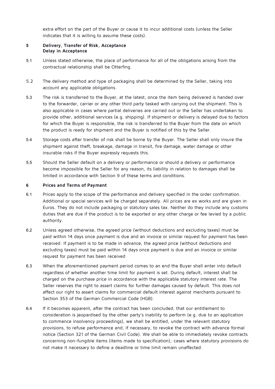extra effort on the part of the Buyer or cause it to incur additional costs (unless the Seller indicates that it is willing to assume these costs).

### **5 Delivery, Transfer of Risk, Acceptance Delay in Acceptance**

- 5.1 Unless stated otherwise, the place of performance for all of the obligations arising from the contractual relationship shall be Otterfing.
- 5.2 The delivery method and type of packaging shall be determined by the Seller, taking into account any applicable obligations.
- 5.3 The risk is transferred to the Buyer, at the latest, once the item being delivered is handed over to the forwarder, carrier or any other third party tasked with carrying out the shipment. This is also applicable in cases where partial deliveries are carried out or the Seller has undertaken to provide other, additional services (e.g. shipping). If shipment or delivery is delayed due to factors for which the Buyer is responsible, the risk is transferred to the Buyer from the date on which the product is ready for shipment and the Buyer is notified of this by the Seller.
- 5.4 Storage costs after transfer of risk shall be borne by the Buyer. The Seller shall only insure the shipment against theft, breakage, damage in transit, fire damage, water damage or other insurable risks if the Buyer expressly requests this.
- 5.5 Should the Seller default on a delivery or performance or should a delivery or performance become impossible for the Seller for any reason, its liability in relation to damages shall be limited in accordance with Section 9 of these terms and conditions.

### **6 Prices and Terms of Payment**

- 6.1 Prices apply to the scope of the performance and delivery specified in the order confirmation. Additional or special services will be charged separately. All prices are ex works and are given in Euros. They do not include packaging or statutory sales tax. Neither do they include any customs duties that are due if the product is to be exported or any other charge or fee levied by a public authority.
- 6.2 Unless agreed otherwise, the agreed price (without deductions and excluding taxes) must be paid within 14 days once payment is due and an invoice or similar request for payment has been received. If payment is to be made in advance, the agreed price (without deductions and excluding taxes) must be paid within 14 days once payment is due and an invoice or similar request for payment has been received
- 6.3 When the aforementioned payment period comes to an end the Buyer shall enter into default regardless of whether another time limit for payment is set. During default, interest shall be charged on the purchase price in accordance with the applicable statutory interest rate. The Seller reserves the right to assert claims for further damages caused by default. This does not affect our right to assert claims for commercial default interest against merchants pursuant to Section 353 of the German Commercial Code (HGB).
- 6.4 If it becomes apparent, after the contract has been concluded, that our entitlement to consideration is jeopardised by the other party's inability to perform (e.g. due to an application to commence insolvency proceedings), we shall be entitled, under the relevant statutory provisions, to refuse performance and, if necessary, to revoke the contract with advance formal notice (Section 321 of the German Civil Code). We shall be able to immediately revoke contracts concerning non-fungible items (items made to specification); cases where statutory provisions do not make it necessary to define a deadline or time limit remain unaffected.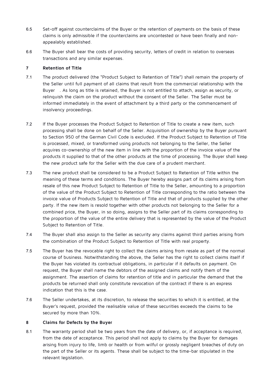- 6.5 Set-off against counterclaims of the Buyer or the retention of payments on the basis of these claims is only admissible if the counterclaims are uncontested or have been finally and nonappealably established.
- 6.6 The Buyer shall bear the costs of providing security, letters of credit in relation to overseas transactions and any similar expenses.

## **7 Retention of Title**

- 7.1 The product delivered (the "Product Subject to Retention of Title") shall remain the property of the Seller until full payment of all claims that result from the commercial relationship with the Buyer . As long as title is retained, the Buyer is not entitled to attach, assign as security, or relinquish the claim on the product without the consent of the Seller. The Seller must be informed immediately in the event of attachment by a third party or the commencement of insolvency proceedings.
- 7.2 If the Buyer processes the Product Subject to Retention of Title to create a new item, such processing shall be done on behalf of the Seller. Acquisition of ownership by the Buyer pursuant to Section 950 of the German Civil Code is excluded. If the Product Subject to Retention of Title is processed, mixed, or transformed using products not belonging to the Seller, the Seller acquires co-ownership of the new item in line with the proportion of the invoice value of the products it supplied to that of the other products at the time of processing. The Buyer shall keep the new product safe for the Seller with the due care of a prudent merchant.
- 7.3 The new product shall be considered to be a Product Subject to Retention of Title within the meaning of these terms and conditions. The Buyer hereby assigns part of its claims arising from resale of this new Product Subject to Retention of Title to the Seller, amounting to a proportion of the value of the Product Subject to Retention of Title corresponding to the ratio between the invoice value of Products Subject to Retention of Title and that of products supplied by the other party. If the new item is resold together with other products not belonging to the Seller for a combined price, the Buyer, in so doing, assigns to the Seller part of its claims corresponding to the proportion of the value of the entire delivery that is represented by the value of the Product Subject to Retention of Title.
- 7.4 The Buyer shall also assign to the Seller as security any claims against third parties arising from the combination of the Product Subject to Retention of Title with real property.
- 7.5 The Buyer has the revocable right to collect the claims arising from resale as part of the normal course of business. Notwithstanding the above, the Seller has the right to collect claims itself if the Buyer has violated its contractual obligations, in particular if it defaults on payment. On request, the Buyer shall name the debtors of the assigned claims and notify them of the assignment. The assertion of claims for retention of title and in particular the demand that the products be returned shall only constitute revocation of the contract if there is an express indication that this is the case.
- 7.6 The Seller undertakes, at its discretion, to release the securities to which it is entitled, at the Buyer's request, provided the realisable value of these securities exceeds the claims to be secured by more than 10%.

# **8 Claims for Defects by the Buyer**

8.1 The warranty period shall be two years from the date of delivery, or, if acceptance is required, from the date of acceptance. This period shall not apply to claims by the Buyer for damages arising from injury to life, limb or health or from wilful or grossly negligent breaches of duty on the part of the Seller or its agents. These shall be subject to the time-bar stipulated in the relevant legislation.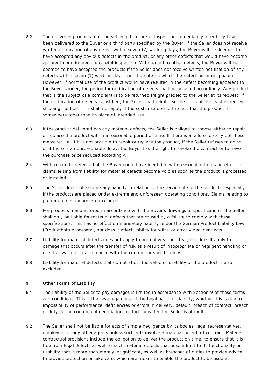- 8.2 The delivered products must be subjected to careful inspection immediately after they have been delivered to the Buyer or a third party specified by the Buyer. If the Seller does not receive written notification of any defect within seven (7) working days, the Buyer will be deemed to have accepted any obvious defects in the product, or any other defects that would have become apparent upon immediate careful inspection. With regard to other defects, the Buyer will be deemed to have accepted the products if the Seller does not receive written notification of any defects within seven (7) working days from the date on which the defect became apparent. However, if normal use of the product would have resulted in the defect becoming apparent to the Buyer sooner, the period for notification of defects shall be adjusted accordingly. Any product that is the subject of a complaint is to be returned freight prepaid to the Seller at its request. If the notification of defects is justified, the Seller shall reimburse the costs of the least expensive shipping method. This shall not apply if the costs rise due to the fact that the product is somewhere other than its place of intended use.
- 8.3 If the product delivered has any material defects, the Seller is obliged to choose either to repair or replace the product within a reasonable period of time. If there is a failure to carry out these measures i.e. if it is not possible to repair or replace the product, if the Seller refuses to do so, or if there is an unreasonable delay, the Buyer has the right to revoke the contract or to have the purchase price reduced accordingly.
- 8.4 With regard to defects that the Buyer could have identified with reasonable time and effort, all claims arising from liability for material defects become void as soon as the product is processed or installed.
- 8.5 The Seller does not assume any liability in relation to the service life of the products, especially if the products are placed under extreme and unforeseen operating conditions. Claims relating to premature destruction are excluded.
- 8.6 For products manufactured in accordance with the Buyer's drawings or specifications, the Seller shall only be liable for material defects that are caused by a failure to comply with these specifications. This has no effect on mandatory liability under the German Product Liability Law (Produkthaftungsgesetz), nor does it affect liability for wilful or grossly negligent acts.
- 8.7 Liability for material defects does not apply to normal wear and tear, nor does it apply to damage that occurs after the transfer of risk as a result of inappropriate or negligent handling or use that was not in accordance with the contract or specifications.
- 8.8 Liability for material defects that do not affect the value or usability of the product is also excluded.

#### **9 Other Forms of Liability**

- 9.1 The liability of the Seller to pay damages is limited in accordance with Section 9 of these terms and conditions. This is the case regardless of the legal basis for liability, whether this is due to impossibility of performance, deficiencies or errors in delivery, default, breach of contract, breach of duty during contractual negotiations or tort, provided the Seller is at fault.
- 9.2 The Seller shall not be liable for acts of simple negligence by its bodies, legal representatives, employees or any other agents unless such acts involve a material breach of contract. Material contractual provisions include the obligation to deliver the product on time, to ensure that it is free from legal defects as well as such material defects that pose a limit to its functionality or usability that is more than merely insignificant, as well as breaches of duties to provide advice, to provide protection or take care, which are meant to enable the product to be used as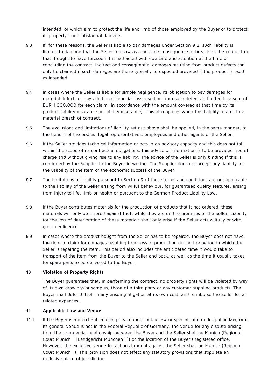intended, or which aim to protect the life and limb of those employed by the Buyer or to protect its property from substantial damage.

- 9.3 If, for these reasons, the Seller is liable to pay damages under Section 9.2, such liability is limited to damage that the Seller foresaw as a possible consequence of breaching the contract or that it ought to have foreseen if it had acted with due care and attention at the time of concluding the contract. Indirect and consequential damages resulting from product defects can only be claimed if such damages are those typically to expected provided if the product is used as intended.
- 9.4 In cases where the Seller is liable for simple negligence, its obligation to pay damages for material defects or any additional financial loss resulting from such defects is limited to a sum of EUR 1,000,000 for each claim (in accordance with the amount covered at that time by its product liability insurance or liability insurance). This also applies when this liability relates to a material breach of contract.
- 9.5 The exclusions and limitations of liability set out above shall be applied, in the same manner, to the benefit of the bodies, legal representatives, employees and other agents of the Seller.
- 9.6 If the Seller provides technical information or acts in an advisory capacity and this does not fall within the scope of its contractual obligations, this advice or information is to be provided free of charge and without giving rise to any liability. The advice of the Seller is only binding if this is confirmed by the Supplier to the Buyer in writing. The Supplier does not accept any liability for the usability of the item or the economic success of the Buyer.
- 9.7 The limitations of liability pursuant to Section 9 of these terms and conditions are not applicable to the liability of the Seller arising from wilful behaviour, for guaranteed quality features, arising from injury to life, limb or health or pursuant to the German Product Liability Law.
- 9.8 If the Buyer contributes materials for the production of products that it has ordered, these materials will only be insured against theft while they are on the premises of the Seller. Liability for the loss of deterioration of these materials shall only arise if the Seller acts wilfully or with gross negligence.
- 9.9 In cases where the product bought from the Seller has to be repaired, the Buyer does not have the right to claim for damages resulting from loss of production during the period in which the Seller is repairing the item. This period also includes the anticipated time it would take to transport of the item from the Buyer to the Seller and back, as well as the time it usually takes for spare parts to be delivered to the Buyer.

#### **10 Violation of Property Rights**

The Buyer guarantees that, in performing the contract, no property rights will be violated by way of its own drawings or samples, those of a third party or any customer-supplied products. The Buyer shall defend itself in any ensuing litigation at its own cost, and reimburse the Seller for all related expenses.

## **11 Applicable Law and Venue**

11.1 If the Buyer is a merchant, a legal person under public law or special fund under public law, or if its general venue is not in the Federal Republic of Germany, the venue for any dispute arising from the commercial relationship between the Buyer and the Seller shall be Munich (Regional Court Munich II [Landgericht München II]) or the location of the Buyer's registered office. However, the exclusive venue for actions brought against the Seller shall be Munich (Regional Court Munich II). This provision does not affect any statutory provisions that stipulate an exclusive place of jurisdiction.